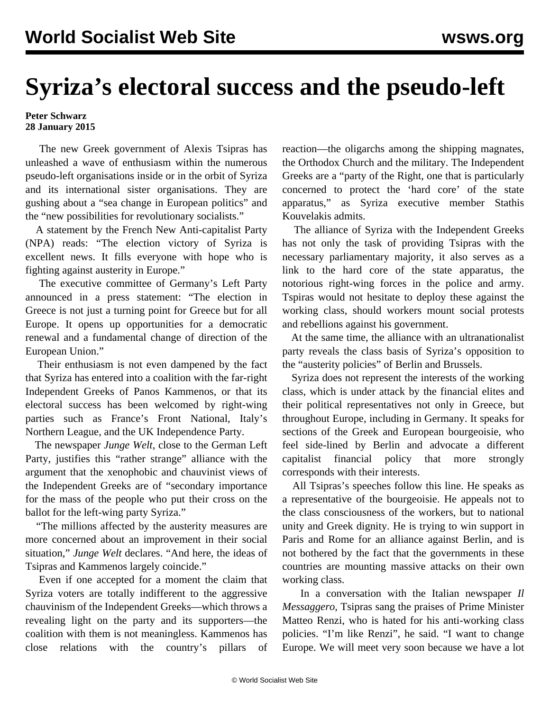## **Syriza's electoral success and the pseudo-left**

## **Peter Schwarz 28 January 2015**

 The new Greek government of Alexis Tsipras has unleashed a wave of enthusiasm within the numerous pseudo-left organisations inside or in the orbit of Syriza and its international sister organisations. They are gushing about a "sea change in European politics" and the "new possibilities for revolutionary socialists."

 A statement by the French New Anti-capitalist Party (NPA) reads: "The election victory of Syriza is excellent news. It fills everyone with hope who is fighting against austerity in Europe."

 The executive committee of Germany's Left Party announced in a press statement: "The election in Greece is not just a turning point for Greece but for all Europe. It opens up opportunities for a democratic renewal and a fundamental change of direction of the European Union."

 Their enthusiasm is not even dampened by the fact that Syriza has entered into a coalition with the far-right Independent Greeks of Panos Kammenos, or that its electoral success has been welcomed by right-wing parties such as France's Front National, Italy's Northern League, and the UK Independence Party.

 The newspaper *Junge Welt*, close to the German Left Party, justifies this "rather strange" alliance with the argument that the xenophobic and chauvinist views of the Independent Greeks are of "secondary importance for the mass of the people who put their cross on the ballot for the left-wing party Syriza."

 "The millions affected by the austerity measures are more concerned about an improvement in their social situation," *Junge Welt* declares. "And here, the ideas of Tsipras and Kammenos largely coincide."

 Even if one accepted for a moment the claim that Syriza voters are totally indifferent to the aggressive chauvinism of the Independent Greeks—which throws a revealing light on the party and its supporters—the coalition with them is not meaningless. Kammenos has close relations with the country's pillars of

reaction—the oligarchs among the shipping magnates, the Orthodox Church and the military. The Independent Greeks are a "party of the Right, one that is particularly concerned to protect the 'hard core' of the state apparatus," as Syriza executive member Stathis Kouvelakis admits.

 The alliance of Syriza with the Independent Greeks has not only the task of providing Tsipras with the necessary parliamentary majority, it also serves as a link to the hard core of the state apparatus, the notorious right-wing forces in the police and army. Tspiras would not hesitate to deploy these against the working class, should workers mount social protests and rebellions against his government.

 At the same time, the alliance with an ultranationalist party reveals the class basis of Syriza's opposition to the "austerity policies" of Berlin and Brussels.

 Syriza does not represent the interests of the working class, which is under attack by the financial elites and their political representatives not only in Greece, but throughout Europe, including in Germany. It speaks for sections of the Greek and European bourgeoisie, who feel side-lined by Berlin and advocate a different capitalist financial policy that more strongly corresponds with their interests.

 All Tsipras's speeches follow this line. He speaks as a representative of the bourgeoisie. He appeals not to the class consciousness of the workers, but to national unity and Greek dignity. He is trying to win support in Paris and Rome for an alliance against Berlin, and is not bothered by the fact that the governments in these countries are mounting massive attacks on their own working class.

 In a conversation with the Italian newspaper *Il Messaggero*, Tsipras sang the praises of Prime Minister Matteo Renzi, who is hated for his anti-working class policies. "I'm like Renzi", he said. "I want to change Europe. We will meet very soon because we have a lot